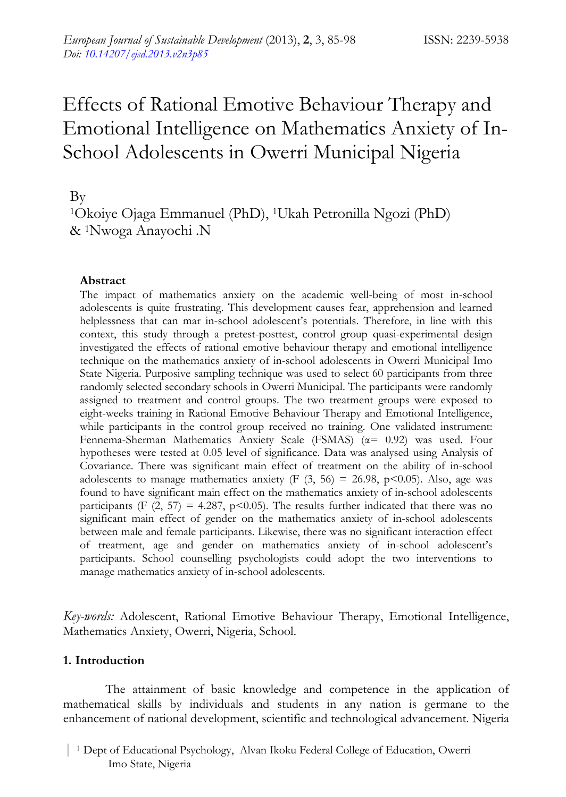# Effects of Rational Emotive Behaviour Therapy and Emotional Intelligence on Mathematics Anxiety of In-School Adolescents in Owerri Municipal Nigeria

By

1Okoiye Ojaga Emmanuel (PhD), 1Ukah Petronilla Ngozi (PhD) & 1Nwoga Anayochi .N

# **Abstract**

The impact of mathematics anxiety on the academic well-being of most in-school adolescents is quite frustrating. This development causes fear, apprehension and learned helplessness that can mar in-school adolescent's potentials. Therefore, in line with this context, this study through a pretest-posttest, control group quasi-experimental design investigated the effects of rational emotive behaviour therapy and emotional intelligence technique on the mathematics anxiety of in-school adolescents in Owerri Municipal Imo State Nigeria. Purposive sampling technique was used to select 60 participants from three randomly selected secondary schools in Owerri Municipal. The participants were randomly assigned to treatment and control groups. The two treatment groups were exposed to eight-weeks training in Rational Emotive Behaviour Therapy and Emotional Intelligence, while participants in the control group received no training. One validated instrument: Fennema-Sherman Mathematics Anxiety Scale (FSMAS) (α= 0.92) was used. Four hypotheses were tested at 0.05 level of significance. Data was analysed using Analysis of Covariance. There was significant main effect of treatment on the ability of in-school adolescents to manage mathematics anxiety (F  $(3, 56) = 26.98$ , p<0.05). Also, age was found to have significant main effect on the mathematics anxiety of in-school adolescents participants (F  $(2, 57) = 4.287$ , p<0.05). The results further indicated that there was no significant main effect of gender on the mathematics anxiety of in-school adolescents between male and female participants. Likewise, there was no significant interaction effect of treatment, age and gender on mathematics anxiety of in-school adolescent's participants. School counselling psychologists could adopt the two interventions to manage mathematics anxiety of in-school adolescents.

*Key-words:* Adolescent, Rational Emotive Behaviour Therapy, Emotional Intelligence, Mathematics Anxiety, Owerri, Nigeria, School.

# **1. Introduction**

The attainment of basic knowledge and competence in the application of mathematical skills by individuals and students in any nation is germane to the enhancement of national development, scientific and technological advancement. Nigeria

 | <sup>1</sup> Dept of Educational Psychology, Alvan Ikoku Federal College of Education, Owerri Imo State, Nigeria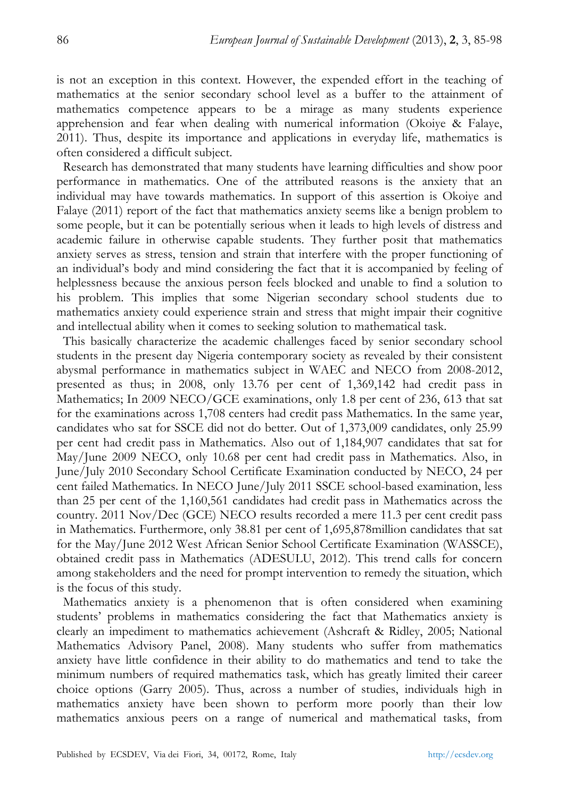is not an exception in this context. However, the expended effort in the teaching of mathematics at the senior secondary school level as a buffer to the attainment of mathematics competence appears to be a mirage as many students experience apprehension and fear when dealing with numerical information (Okoiye & Falaye, 2011). Thus, despite its importance and applications in everyday life, mathematics is often considered a difficult subject.

Research has demonstrated that many students have learning difficulties and show poor performance in mathematics. One of the attributed reasons is the anxiety that an individual may have towards mathematics. In support of this assertion is Okoiye and Falaye (2011) report of the fact that mathematics anxiety seems like a benign problem to some people, but it can be potentially serious when it leads to high levels of distress and academic failure in otherwise capable students. They further posit that mathematics anxiety serves as stress, tension and strain that interfere with the proper functioning of an individual's body and mind considering the fact that it is accompanied by feeling of helplessness because the anxious person feels blocked and unable to find a solution to his problem. This implies that some Nigerian secondary school students due to mathematics anxiety could experience strain and stress that might impair their cognitive and intellectual ability when it comes to seeking solution to mathematical task.

This basically characterize the academic challenges faced by senior secondary school students in the present day Nigeria contemporary society as revealed by their consistent abysmal performance in mathematics subject in WAEC and NECO from 2008-2012, presented as thus; in 2008, only 13.76 per cent of 1,369,142 had credit pass in Mathematics; In 2009 NECO/GCE examinations, only 1.8 per cent of 236, 613 that sat for the examinations across 1,708 centers had credit pass Mathematics. In the same year, candidates who sat for SSCE did not do better. Out of 1,373,009 candidates, only 25.99 per cent had credit pass in Mathematics. Also out of 1,184,907 candidates that sat for May/June 2009 NECO, only 10.68 per cent had credit pass in Mathematics. Also, in June/July 2010 Secondary School Certificate Examination conducted by NECO, 24 per cent failed Mathematics. In NECO June/July 2011 SSCE school-based examination, less than 25 per cent of the 1,160,561 candidates had credit pass in Mathematics across the country. 2011 Nov/Dec (GCE) NECO results recorded a mere 11.3 per cent credit pass in Mathematics. Furthermore, only 38.81 per cent of 1,695,878million candidates that sat for the May/June 2012 West African Senior School Certificate Examination (WASSCE), obtained credit pass in Mathematics (ADESULU, 2012). This trend calls for concern among stakeholders and the need for prompt intervention to remedy the situation, which is the focus of this study.

Mathematics anxiety is a phenomenon that is often considered when examining students' problems in mathematics considering the fact that Mathematics anxiety is clearly an impediment to mathematics achievement (Ashcraft & Ridley, 2005; National Mathematics Advisory Panel, 2008). Many students who suffer from mathematics anxiety have little confidence in their ability to do mathematics and tend to take the minimum numbers of required mathematics task, which has greatly limited their career choice options (Garry 2005). Thus, across a number of studies, individuals high in mathematics anxiety have been shown to perform more poorly than their low mathematics anxious peers on a range of numerical and mathematical tasks, from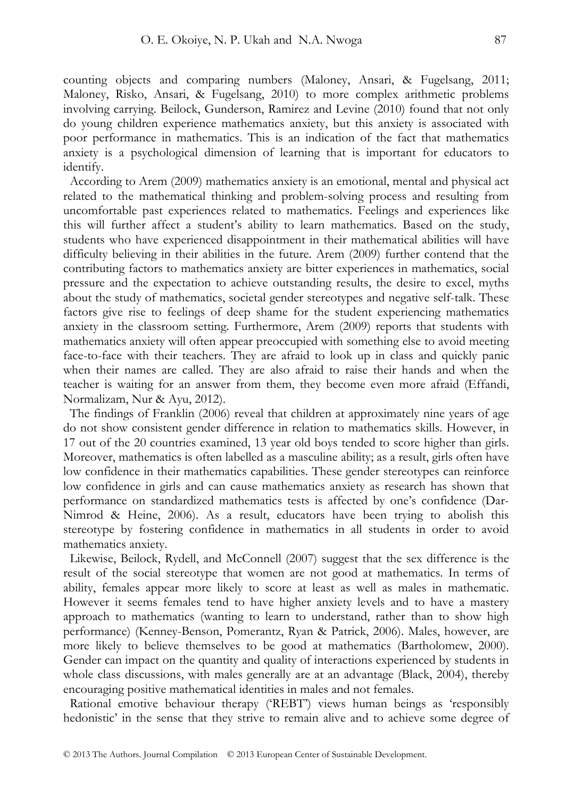counting objects and comparing numbers (Maloney, Ansari, & Fugelsang, 2011; Maloney, Risko, Ansari, & Fugelsang, 2010) to more complex arithmetic problems involving carrying. Beilock, Gunderson, Ramirez and Levine (2010) found that not only do young children experience mathematics anxiety, but this anxiety is associated with poor performance in mathematics. This is an indication of the fact that mathematics anxiety is a psychological dimension of learning that is important for educators to identify.

According to Arem (2009) mathematics anxiety is an emotional, mental and physical act related to the mathematical thinking and problem-solving process and resulting from uncomfortable past experiences related to mathematics. Feelings and experiences like this will further affect a student's ability to learn mathematics. Based on the study, students who have experienced disappointment in their mathematical abilities will have difficulty believing in their abilities in the future. Arem (2009) further contend that the contributing factors to mathematics anxiety are bitter experiences in mathematics, social pressure and the expectation to achieve outstanding results, the desire to excel, myths about the study of mathematics, societal gender stereotypes and negative self-talk. These factors give rise to feelings of deep shame for the student experiencing mathematics anxiety in the classroom setting. Furthermore, Arem (2009) reports that students with mathematics anxiety will often appear preoccupied with something else to avoid meeting face-to-face with their teachers. They are afraid to look up in class and quickly panic when their names are called. They are also afraid to raise their hands and when the teacher is waiting for an answer from them, they become even more afraid (Effandi, Normalizam, Nur & Ayu, 2012).

The findings of Franklin (2006) reveal that children at approximately nine years of age do not show consistent gender difference in relation to mathematics skills. However, in 17 out of the 20 countries examined, 13 year old boys tended to score higher than girls. Moreover, mathematics is often labelled as a masculine ability; as a result, girls often have low confidence in their mathematics capabilities. These gender stereotypes can reinforce low confidence in girls and can cause mathematics anxiety as research has shown that performance on standardized mathematics tests is affected by one's confidence (Dar-Nimrod & Heine, 2006). As a result, educators have been trying to abolish this stereotype by fostering confidence in mathematics in all students in order to avoid mathematics anxiety.

Likewise, Beilock, Rydell, and McConnell (2007) suggest that the sex difference is the result of the social stereotype that women are not good at mathematics. In terms of ability, females appear more likely to score at least as well as males in mathematic. However it seems females tend to have higher anxiety levels and to have a mastery approach to mathematics (wanting to learn to understand, rather than to show high performance) (Kenney-Benson, Pomerantz, Ryan & Patrick, 2006). Males, however, are more likely to believe themselves to be good at mathematics (Bartholomew, 2000). Gender can impact on the quantity and quality of interactions experienced by students in whole class discussions, with males generally are at an advantage (Black, 2004), thereby encouraging positive mathematical identities in males and not females.

Rational emotive behaviour therapy ('REBT') views human beings as 'responsibly hedonistic' in the sense that they strive to remain alive and to achieve some degree of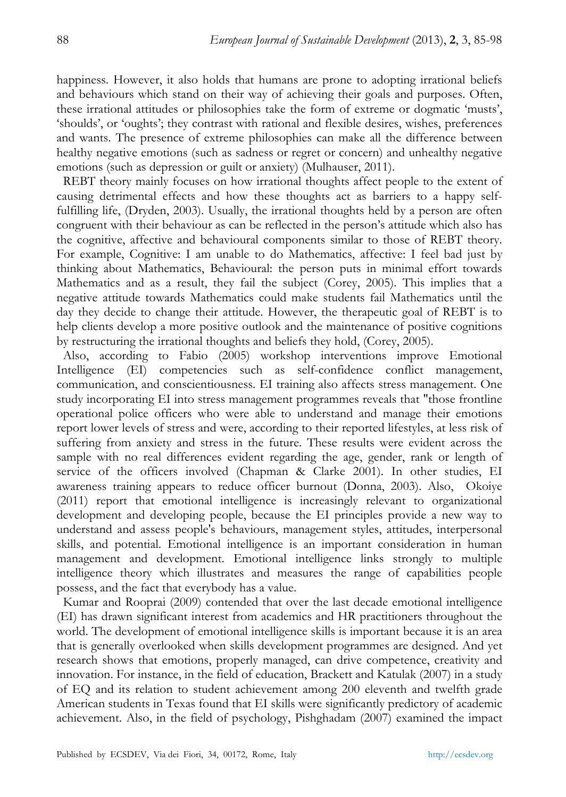happiness. However, it also holds that humans are prone to adopting irrational beliefs and behaviours which stand on their way of achieving their goals and purposes. Often, these irrational attitudes or philosophies take the form of extreme or dogmatic 'musts', 'shoulds', or 'oughts'; they contrast with rational and flexible desires, wishes, preferences and wants. The presence of extreme philosophies can make all the difference between healthy negative emotions (such as sadness or regret or concern) and unhealthy negative emotions (such as depression or guilt or anxiety) (Mulhauser, 2011).

REBT theory mainly focuses on how irrational thoughts affect people to the extent of causing detrimental effects and how these thoughts act as barriers to a happy selffulfilling life, (Dryden, 2003). Usually, the irrational thoughts held by a person are often congruent with their behaviour as can be reflected in the person's attitude which also has the cognitive, affective and behavioural components similar to those of REBT theory. For example, Cognitive: I am unable to do Mathematics, affective: I feel bad just by thinking about Mathematics, Behavioural: the person puts in minimal effort towards Mathematics and as a result, they fail the subject (Corey, 2005). This implies that a negative attitude towards Mathematics could make students fail Mathematics until the day they decide to change their attitude. However, the therapeutic goal of REBT is to help clients develop a more positive outlook and the maintenance of positive cognitions by restructuring the irrational thoughts and beliefs they hold, (Corey, 2005).

Also, according to Fabio (2005) workshop interventions improve Emotional Intelligence (EI) competencies such as self-confidence conflict management, communication, and conscientiousness. EI training also affects stress management. One study incorporating EI into stress management programmes reveals that "those frontline operational police officers who were able to understand and manage their emotions report lower levels of stress and were, according to their reported lifestyles, at less risk of suffering from anxiety and stress in the future. These results were evident across the sample with no real differences evident regarding the age, gender, rank or length of service of the officers involved (Chapman & Clarke 2001). In other studies, EI awareness training appears to reduce officer burnout (Donna, 2003). Also, Okoiye (2011) report that emotional intelligence is increasingly relevant to organizational development and developing people, because the EI principles provide a new way to understand and assess people's behaviours, management styles, attitudes, interpersonal skills, and potential. Emotional intelligence is an important consideration in human management and development. Emotional intelligence links strongly to multiple intelligence theory which illustrates and measures the range of capabilities people possess, and the fact that everybody has a value.

Kumar and Rooprai (2009) contended that over the last decade emotional intelligence (EI) has drawn significant interest from academics and HR practitioners throughout the world. The development of emotional intelligence skills is important because it is an area that is generally overlooked when skills development programmes are designed. And yet research shows that emotions, properly managed, can drive competence, creativity and innovation. For instance, in the field of education, Brackett and Katulak (2007) in a study of EQ and its relation to student achievement among 200 eleventh and twelfth grade American students in Texas found that EI skills were significantly predictory of academic achievement. Also, in the field of psychology, Pishghadam (2007) examined the impact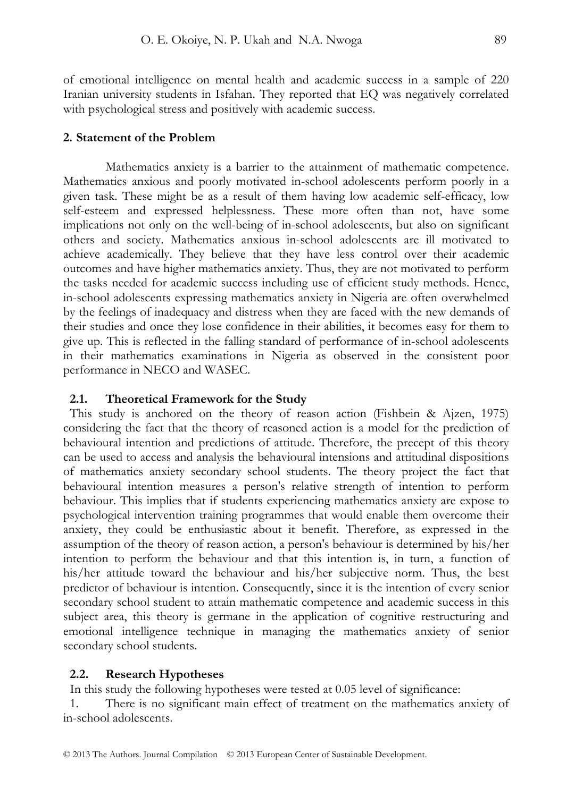of emotional intelligence on mental health and academic success in a sample of 220 Iranian university students in Isfahan. They reported that EQ was negatively correlated with psychological stress and positively with academic success.

## **2. Statement of the Problem**

Mathematics anxiety is a barrier to the attainment of mathematic competence. Mathematics anxious and poorly motivated in-school adolescents perform poorly in a given task. These might be as a result of them having low academic self-efficacy, low self-esteem and expressed helplessness. These more often than not, have some implications not only on the well-being of in-school adolescents, but also on significant others and society. Mathematics anxious in-school adolescents are ill motivated to achieve academically. They believe that they have less control over their academic outcomes and have higher mathematics anxiety. Thus, they are not motivated to perform the tasks needed for academic success including use of efficient study methods. Hence, in-school adolescents expressing mathematics anxiety in Nigeria are often overwhelmed by the feelings of inadequacy and distress when they are faced with the new demands of their studies and once they lose confidence in their abilities, it becomes easy for them to give up. This is reflected in the falling standard of performance of in-school adolescents in their mathematics examinations in Nigeria as observed in the consistent poor performance in NECO and WASEC.

## **2.1. Theoretical Framework for the Study**

This study is anchored on the theory of reason action (Fishbein & Ajzen, 1975) considering the fact that the theory of reasoned action is a model for the prediction of behavioural intention and predictions of attitude. Therefore, the precept of this theory can be used to access and analysis the behavioural intensions and attitudinal dispositions of mathematics anxiety secondary school students. The theory project the fact that behavioural intention measures a person's relative strength of intention to perform behaviour. This implies that if students experiencing mathematics anxiety are expose to psychological intervention training programmes that would enable them overcome their anxiety, they could be enthusiastic about it benefit. Therefore, as expressed in the assumption of the theory of reason action, a person's behaviour is determined by his/her intention to perform the behaviour and that this intention is, in turn, a function of his/her attitude toward the behaviour and his/her subjective norm. Thus, the best predictor of behaviour is intention. Consequently, since it is the intention of every senior secondary school student to attain mathematic competence and academic success in this subject area, this theory is germane in the application of cognitive restructuring and emotional intelligence technique in managing the mathematics anxiety of senior secondary school students.

## **2.2. Research Hypotheses**

In this study the following hypotheses were tested at 0.05 level of significance:

1. There is no significant main effect of treatment on the mathematics anxiety of in-school adolescents.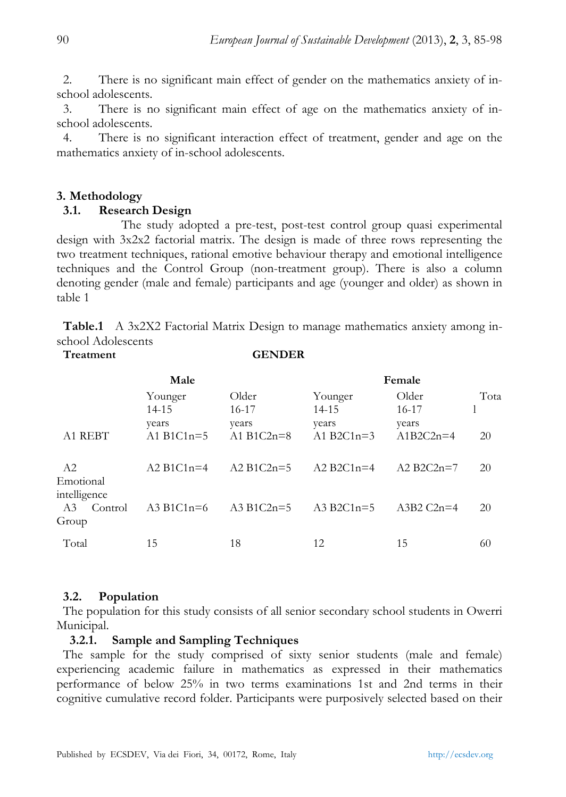2. There is no significant main effect of gender on the mathematics anxiety of inschool adolescents.

3. There is no significant main effect of age on the mathematics anxiety of inschool adolescents.

4. There is no significant interaction effect of treatment, gender and age on the mathematics anxiety of in-school adolescents.

# **3. Methodology**

## **3.1. Research Design**

 The study adopted a pre-test, post-test control group quasi experimental design with 3x2x2 factorial matrix. The design is made of three rows representing the two treatment techniques, rational emotive behaviour therapy and emotional intelligence techniques and the Control Group (non-treatment group). There is also a column denoting gender (male and female) participants and age (younger and older) as shown in table 1

**Table.1** A 3x2X2 Factorial Matrix Design to manage mathematics anxiety among inschool Adolescents **Treatment GENDER**

| Male                                   |                                           |                                         | Female                                    |                                          |            |  |
|----------------------------------------|-------------------------------------------|-----------------------------------------|-------------------------------------------|------------------------------------------|------------|--|
| A1 REBT                                | Younger<br>14-15<br>years<br>A1 $B1C1n=5$ | Older<br>16-17<br>years<br>A1 $B1C2n=8$ | Younger<br>14-15<br>years<br>A1 $B2C1n=3$ | Older<br>$16-17$<br>years<br>$A1B2C2n=4$ | Tota<br>20 |  |
| A2<br>Emotional                        | A2 B1C1 $n=4$                             | A2 B1C2n=5                              | A2 $B2C1n=4$                              | A2 $B2C2n=7$                             | 20         |  |
| intelligence<br>Control<br>A3<br>Group | A3 B <sub>1</sub> C <sub>1n</sub> = $6$   | A3 B1C2n= $5$                           | A3 B2C1 $n=5$                             | A3B2 $C2n=4$                             | 20         |  |
| Total                                  | 15                                        | 18                                      | 12                                        | 15                                       | 60         |  |

# **3.2. Population**

The population for this study consists of all senior secondary school students in Owerri Municipal.

## **3.2.1. Sample and Sampling Techniques**

The sample for the study comprised of sixty senior students (male and female) experiencing academic failure in mathematics as expressed in their mathematics performance of below 25% in two terms examinations 1st and 2nd terms in their cognitive cumulative record folder. Participants were purposively selected based on their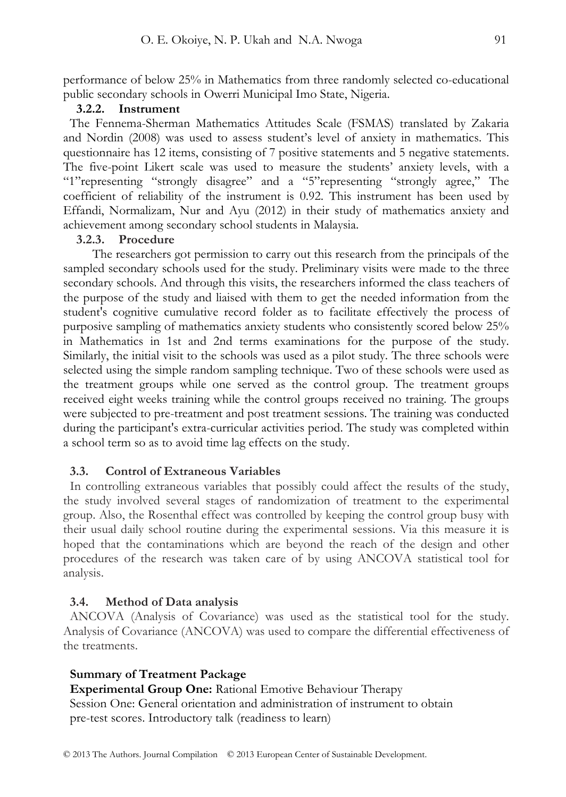performance of below 25% in Mathematics from three randomly selected co-educational public secondary schools in Owerri Municipal Imo State, Nigeria.

## **3.2.2. Instrument**

The Fennema-Sherman Mathematics Attitudes Scale (FSMAS) translated by Zakaria and Nordin (2008) was used to assess student's level of anxiety in mathematics. This questionnaire has 12 items, consisting of 7 positive statements and 5 negative statements. The five-point Likert scale was used to measure the students' anxiety levels, with a "1"representing "strongly disagree" and a "5"representing "strongly agree," The coefficient of reliability of the instrument is 0.92. This instrument has been used by Effandi, Normalizam, Nur and Ayu (2012) in their study of mathematics anxiety and achievement among secondary school students in Malaysia.

## **3.2.3. Procedure**

 The researchers got permission to carry out this research from the principals of the sampled secondary schools used for the study. Preliminary visits were made to the three secondary schools. And through this visits, the researchers informed the class teachers of the purpose of the study and liaised with them to get the needed information from the student's cognitive cumulative record folder as to facilitate effectively the process of purposive sampling of mathematics anxiety students who consistently scored below 25% in Mathematics in 1st and 2nd terms examinations for the purpose of the study. Similarly, the initial visit to the schools was used as a pilot study. The three schools were selected using the simple random sampling technique. Two of these schools were used as the treatment groups while one served as the control group. The treatment groups received eight weeks training while the control groups received no training. The groups were subjected to pre-treatment and post treatment sessions. The training was conducted during the participant's extra-curricular activities period. The study was completed within a school term so as to avoid time lag effects on the study.

# **3.3. Control of Extraneous Variables**

In controlling extraneous variables that possibly could affect the results of the study, the study involved several stages of randomization of treatment to the experimental group. Also, the Rosenthal effect was controlled by keeping the control group busy with their usual daily school routine during the experimental sessions. Via this measure it is hoped that the contaminations which are beyond the reach of the design and other procedures of the research was taken care of by using ANCOVA statistical tool for analysis.

#### **3.4. Method of Data analysis**

ANCOVA (Analysis of Covariance) was used as the statistical tool for the study. Analysis of Covariance (ANCOVA) was used to compare the differential effectiveness of the treatments.

## **Summary of Treatment Package**

**Experimental Group One:** Rational Emotive Behaviour Therapy Session One: General orientation and administration of instrument to obtain pre-test scores. Introductory talk (readiness to learn)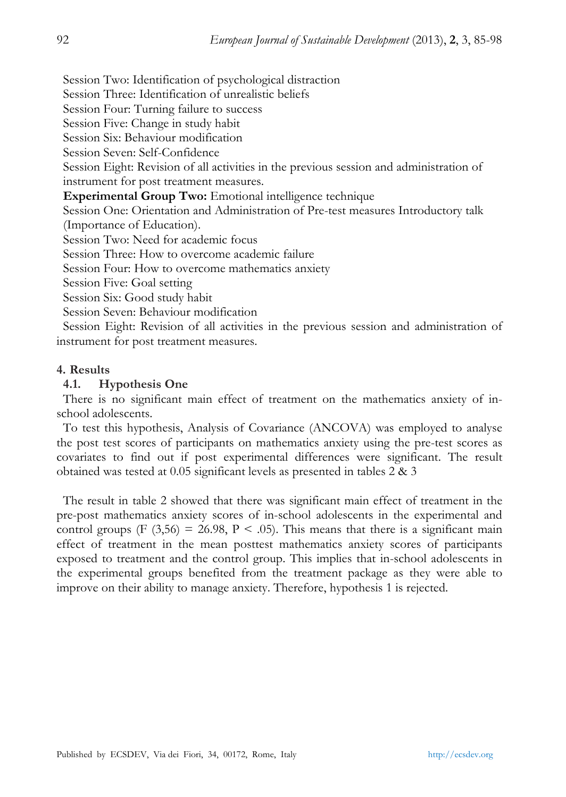Session Two: Identification of psychological distraction

Session Three: Identification of unrealistic beliefs

Session Four: Turning failure to success

Session Five: Change in study habit

Session Six: Behaviour modification

Session Seven: Self-Confidence

Session Eight: Revision of all activities in the previous session and administration of instrument for post treatment measures.

**Experimental Group Two:** Emotional intelligence technique

Session One: Orientation and Administration of Pre-test measures Introductory talk (Importance of Education).

Session Two: Need for academic focus

Session Three: How to overcome academic failure

Session Four: How to overcome mathematics anxiety

Session Five: Goal setting

Session Six: Good study habit

Session Seven: Behaviour modification

Session Eight: Revision of all activities in the previous session and administration of instrument for post treatment measures.

## **4. Results**

## **4.1. Hypothesis One**

There is no significant main effect of treatment on the mathematics anxiety of inschool adolescents.

To test this hypothesis, Analysis of Covariance (ANCOVA) was employed to analyse the post test scores of participants on mathematics anxiety using the pre-test scores as covariates to find out if post experimental differences were significant. The result obtained was tested at 0.05 significant levels as presented in tables 2 & 3

The result in table 2 showed that there was significant main effect of treatment in the pre-post mathematics anxiety scores of in-school adolescents in the experimental and control groups (F  $(3,56) = 26.98$ , P < .05). This means that there is a significant main effect of treatment in the mean posttest mathematics anxiety scores of participants exposed to treatment and the control group. This implies that in-school adolescents in the experimental groups benefited from the treatment package as they were able to improve on their ability to manage anxiety. Therefore, hypothesis 1 is rejected.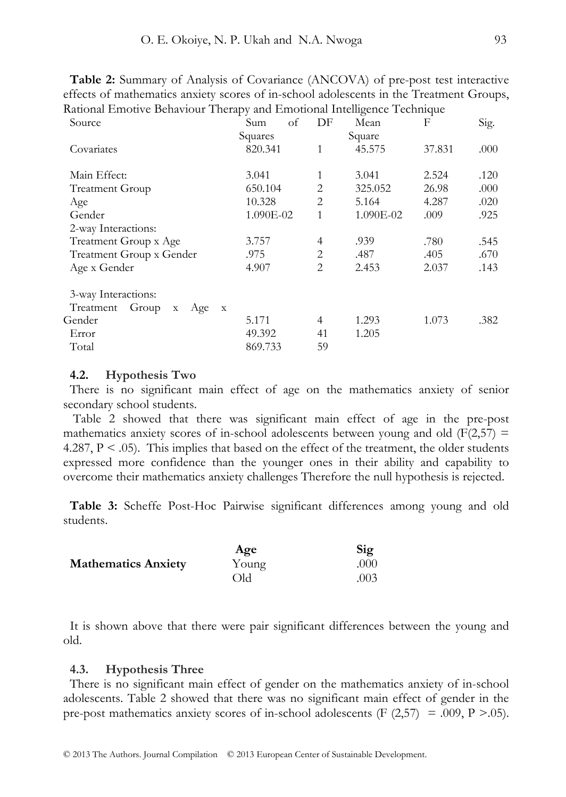| Table 2: Summary of Analysis of Covariance (ANCOVA) of pre-post test interactive        |
|-----------------------------------------------------------------------------------------|
| effects of mathematics anxiety scores of in-school adolescents in the Treatment Groups, |
| Rational Emotive Behaviour Therapy and Emotional Intelligence Technique                 |

| Source                                               | οf<br>Sum | DF             | Mean      | F      | Sig. |
|------------------------------------------------------|-----------|----------------|-----------|--------|------|
|                                                      | Squares   |                | Square    |        |      |
| Covariates                                           | 820.341   | 1              | 45.575    | 37.831 | .000 |
|                                                      |           |                |           |        |      |
| Main Effect:                                         | 3.041     | 1              | 3.041     | 2.524  | .120 |
| <b>Treatment Group</b>                               | 650.104   | $\overline{c}$ | 325.052   | 26.98  | .000 |
| Age                                                  | 10.328    | $\overline{2}$ | 5.164     | 4.287  | .020 |
| Gender                                               | 1.090E-02 | 1              | 1.090E-02 | .009   | .925 |
| 2-way Interactions:                                  |           |                |           |        |      |
| Treatment Group x Age                                | 3.757     | $\overline{4}$ | .939      | .780   | .545 |
| Treatment Group x Gender                             | .975      | 2              | .487      | .405   | .670 |
| Age x Gender                                         | 4.907     | $\overline{2}$ | 2.453     | 2.037  | .143 |
| 3-way Interactions:                                  |           |                |           |        |      |
| Treatment Group<br>Age<br>$\mathbf X$<br>$\mathbf x$ |           |                |           |        |      |
| Gender                                               | 5.171     | 4              | 1.293     | 1.073  | .382 |
| Error                                                | 49.392    | 41             | 1.205     |        |      |
| Total                                                | 869.733   | 59             |           |        |      |
|                                                      |           |                |           |        |      |

## **4.2. Hypothesis Two**

There is no significant main effect of age on the mathematics anxiety of senior secondary school students.

 Table 2 showed that there was significant main effect of age in the pre-post mathematics anxiety scores of in-school adolescents between young and old  $(F(2,57) =$ 4.287,  $P < .05$ ). This implies that based on the effect of the treatment, the older students expressed more confidence than the younger ones in their ability and capability to overcome their mathematics anxiety challenges Therefore the null hypothesis is rejected.

**Table 3:** Scheffe Post-Hoc Pairwise significant differences among young and old students.

|                            | Age   | Sig   |
|----------------------------|-------|-------|
| <b>Mathematics Anxiety</b> | Young | .000. |
|                            | Old   | .003  |

It is shown above that there were pair significant differences between the young and old.

# **4.3. Hypothesis Three**

There is no significant main effect of gender on the mathematics anxiety of in-school adolescents. Table 2 showed that there was no significant main effect of gender in the pre-post mathematics anxiety scores of in-school adolescents (F  $(2,57) = .009$ , P >.05).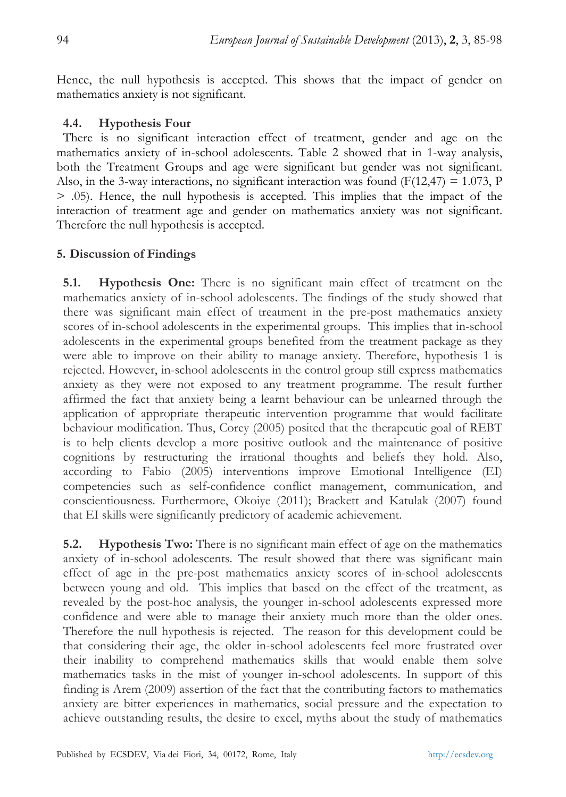Hence, the null hypothesis is accepted. This shows that the impact of gender on mathematics anxiety is not significant.

# **4.4. Hypothesis Four**

There is no significant interaction effect of treatment, gender and age on the mathematics anxiety of in-school adolescents. Table 2 showed that in 1-way analysis, both the Treatment Groups and age were significant but gender was not significant. Also, in the 3-way interactions, no significant interaction was found ( $F(12,47) = 1.073$ , P > .05). Hence, the null hypothesis is accepted. This implies that the impact of the interaction of treatment age and gender on mathematics anxiety was not significant. Therefore the null hypothesis is accepted.

# **5. Discussion of Findings**

**5.1. Hypothesis One:** There is no significant main effect of treatment on the mathematics anxiety of in-school adolescents. The findings of the study showed that there was significant main effect of treatment in the pre-post mathematics anxiety scores of in-school adolescents in the experimental groups. This implies that in-school adolescents in the experimental groups benefited from the treatment package as they were able to improve on their ability to manage anxiety. Therefore, hypothesis 1 is rejected. However, in-school adolescents in the control group still express mathematics anxiety as they were not exposed to any treatment programme. The result further affirmed the fact that anxiety being a learnt behaviour can be unlearned through the application of appropriate therapeutic intervention programme that would facilitate behaviour modification. Thus, Corey (2005) posited that the therapeutic goal of REBT is to help clients develop a more positive outlook and the maintenance of positive cognitions by restructuring the irrational thoughts and beliefs they hold. Also, according to Fabio (2005) interventions improve Emotional Intelligence (EI) competencies such as self-confidence conflict management, communication, and conscientiousness. Furthermore, Okoiye (2011); Brackett and Katulak (2007) found that EI skills were significantly predictory of academic achievement.

**5.2. Hypothesis Two:** There is no significant main effect of age on the mathematics anxiety of in-school adolescents. The result showed that there was significant main effect of age in the pre-post mathematics anxiety scores of in-school adolescents between young and old. This implies that based on the effect of the treatment, as revealed by the post-hoc analysis, the younger in-school adolescents expressed more confidence and were able to manage their anxiety much more than the older ones. Therefore the null hypothesis is rejected. The reason for this development could be that considering their age, the older in-school adolescents feel more frustrated over their inability to comprehend mathematics skills that would enable them solve mathematics tasks in the mist of younger in-school adolescents. In support of this finding is Arem (2009) assertion of the fact that the contributing factors to mathematics anxiety are bitter experiences in mathematics, social pressure and the expectation to achieve outstanding results, the desire to excel, myths about the study of mathematics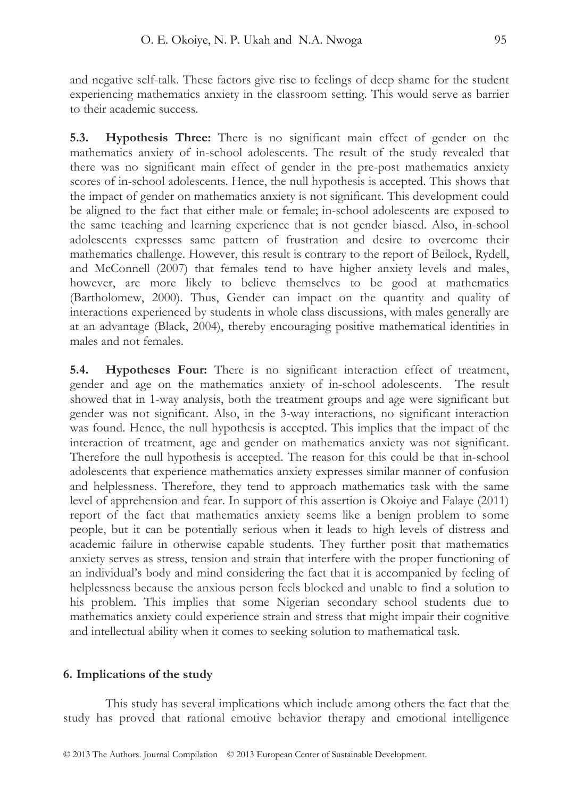and negative self-talk. These factors give rise to feelings of deep shame for the student experiencing mathematics anxiety in the classroom setting. This would serve as barrier to their academic success.

**5.3. Hypothesis Three:** There is no significant main effect of gender on the mathematics anxiety of in-school adolescents. The result of the study revealed that there was no significant main effect of gender in the pre-post mathematics anxiety scores of in-school adolescents. Hence, the null hypothesis is accepted. This shows that the impact of gender on mathematics anxiety is not significant. This development could be aligned to the fact that either male or female; in-school adolescents are exposed to the same teaching and learning experience that is not gender biased. Also, in-school adolescents expresses same pattern of frustration and desire to overcome their mathematics challenge. However, this result is contrary to the report of Beilock, Rydell, and McConnell (2007) that females tend to have higher anxiety levels and males, however, are more likely to believe themselves to be good at mathematics (Bartholomew, 2000). Thus, Gender can impact on the quantity and quality of interactions experienced by students in whole class discussions, with males generally are at an advantage (Black, 2004), thereby encouraging positive mathematical identities in males and not females.

**5.4. Hypotheses Four:** There is no significant interaction effect of treatment, gender and age on the mathematics anxiety of in-school adolescents. The result showed that in 1-way analysis, both the treatment groups and age were significant but gender was not significant. Also, in the 3-way interactions, no significant interaction was found. Hence, the null hypothesis is accepted. This implies that the impact of the interaction of treatment, age and gender on mathematics anxiety was not significant. Therefore the null hypothesis is accepted. The reason for this could be that in-school adolescents that experience mathematics anxiety expresses similar manner of confusion and helplessness. Therefore, they tend to approach mathematics task with the same level of apprehension and fear. In support of this assertion is Okoiye and Falaye (2011) report of the fact that mathematics anxiety seems like a benign problem to some people, but it can be potentially serious when it leads to high levels of distress and academic failure in otherwise capable students. They further posit that mathematics anxiety serves as stress, tension and strain that interfere with the proper functioning of an individual's body and mind considering the fact that it is accompanied by feeling of helplessness because the anxious person feels blocked and unable to find a solution to his problem. This implies that some Nigerian secondary school students due to mathematics anxiety could experience strain and stress that might impair their cognitive and intellectual ability when it comes to seeking solution to mathematical task.

## **6. Implications of the study**

This study has several implications which include among others the fact that the study has proved that rational emotive behavior therapy and emotional intelligence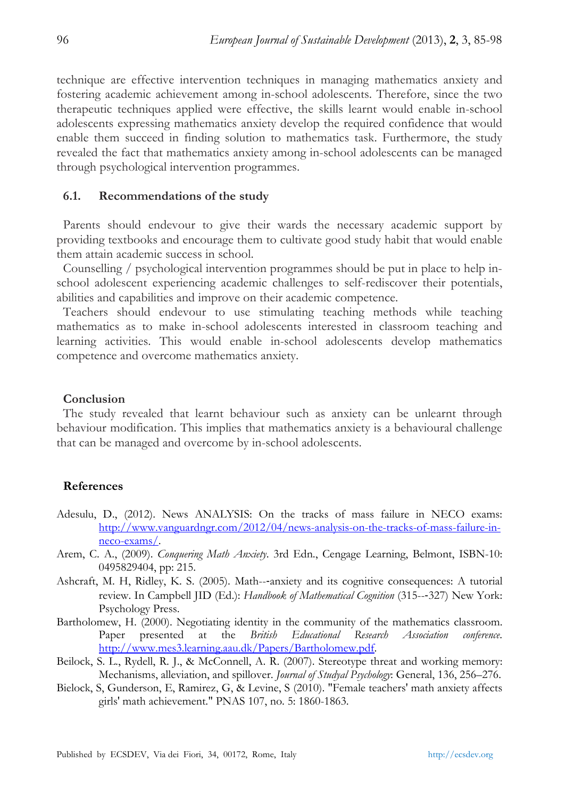technique are effective intervention techniques in managing mathematics anxiety and fostering academic achievement among in-school adolescents. Therefore, since the two therapeutic techniques applied were effective, the skills learnt would enable in-school adolescents expressing mathematics anxiety develop the required confidence that would enable them succeed in finding solution to mathematics task. Furthermore, the study revealed the fact that mathematics anxiety among in-school adolescents can be managed through psychological intervention programmes.

# **6.1. Recommendations of the study**

Parents should endevour to give their wards the necessary academic support by providing textbooks and encourage them to cultivate good study habit that would enable them attain academic success in school.

Counselling / psychological intervention programmes should be put in place to help inschool adolescent experiencing academic challenges to self-rediscover their potentials, abilities and capabilities and improve on their academic competence.

Teachers should endevour to use stimulating teaching methods while teaching mathematics as to make in-school adolescents interested in classroom teaching and learning activities. This would enable in-school adolescents develop mathematics competence and overcome mathematics anxiety.

## **Conclusion**

The study revealed that learnt behaviour such as anxiety can be unlearnt through behaviour modification. This implies that mathematics anxiety is a behavioural challenge that can be managed and overcome by in-school adolescents.

## **References**

- Adesulu, D., (2012). News ANALYSIS: On the tracks of mass failure in NECO exams: http://www.vanguardngr.com/2012/04/news-analysis-on-the-tracks-of-mass-failure-inneco-exams/.
- Arem, C. A., (2009). *Conquering Math Anxiety*. 3rd Edn., Cengage Learning, Belmont, ISBN-10: 0495829404, pp: 215.
- Ashcraft, M. H, Ridley, K. S. (2005). Math--‐anxiety and its cognitive consequences: A tutorial review. In Campbell JID (Ed.): *Handbook of Mathematical Cognition* (315--‐327) New York: Psychology Press.
- Bartholomew, H. (2000). Negotiating identity in the community of the mathematics classroom. Paper presented at the *British Educational Research Association conference*. http://www.mes3.learning.aau.dk/Papers/Bartholomew.pdf.
- Beilock, S. L., Rydell, R. J., & McConnell, A. R. (2007). Stereotype threat and working memory: Mechanisms, alleviation, and spillover. *Journal of Studyal Psychology*: General, 136, 256–276.
- Bielock, S, Gunderson, E, Ramirez, G, & Levine, S (2010). "Female teachers' math anxiety affects girls' math achievement." PNAS 107, no. 5: 1860-1863.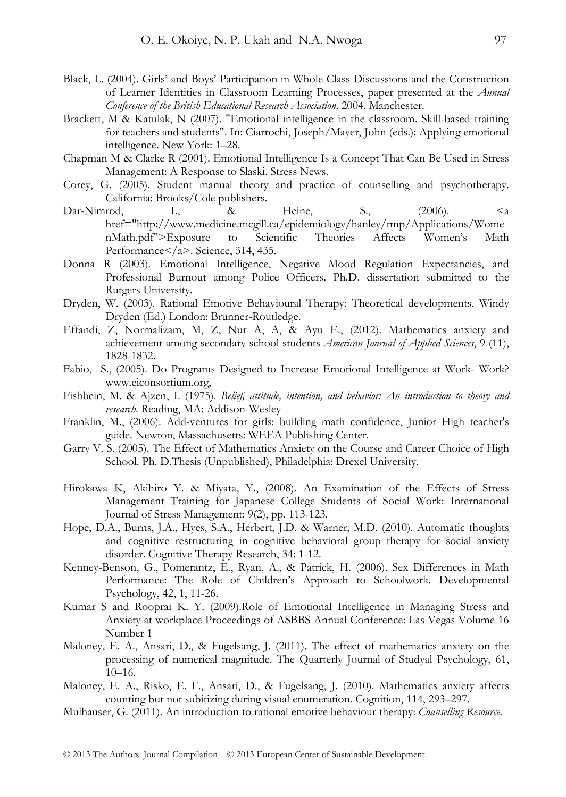- Black, L. (2004). Girls' and Boys' Participation in Whole Class Discussions and the Construction of Learner Identities in Classroom Learning Processes, paper presented at the *Annual Conference of the British Educational Research Association*. 2004. Manchester.
- Brackett, M & Katulak, N (2007). "Emotional intelligence in the classroom. Skill-based training for teachers and students". In: Ciarrochi, Joseph/Mayer, John (eds.): Applying emotional intelligence. New York: 1–28.
- Chapman M & Clarke R (2001). Emotional Intelligence Is a Concept That Can Be Used in Stress Management: A Response to Slaski. Stress News.
- Corey, G. (2005). Student manual theory and practice of counselling and psychotherapy. California: Brooks/Cole publishers.
- Dar-Nimrod, I., & Heine, S., (2006). <a href="http://www.medicine.mcgill.ca/epidemiology/hanley/tmp/Applications/Wome nMath.pdf">Exposure to Scientific Theories Affects Women's Math Performance</a>. Science, 314, 435.
- Donna R (2003). Emotional Intelligence, Negative Mood Regulation Expectancies, and Professional Burnout among Police Officers. Ph.D. dissertation submitted to the Rutgers University.
- Dryden, W. (2003). Rational Emotive Behavioural Therapy: Theoretical developments. Windy Dryden (Ed.) London: Brunner-Routledge.
- Effandi, Z, Normalizam, M, Z, Nur A, A, & Ayu E., (2012). Mathematics anxiety and achievement among secondary school students *American Journal of Applied Sciences*, 9 (11), 1828-1832.
- Fabio, S., (2005). Do Programs Designed to Increase Emotional Intelligence at Work- Work? www.eiconsortium.org,
- Fishbein, M. & Ajzen, I. (1975). *Belief, attitude, intention, and behavior: An introduction to theory and research*. Reading, MA: Addison-Wesley
- Franklin, M., (2006). Add-ventures for girls: building math confidence, Junior High teacher's guide. Newton, Massachusetts: WEEA Publishing Center.
- Garry V. S. (2005). The Effect of Mathematics Anxiety on the Course and Career Choice of High School. Ph. D.Thesis (Unpublished), Philadelphia: Drexel University.
- Hirokawa K, Akihiro Y. & Miyata, Y., (2008). An Examination of the Effects of Stress Management Training for Japanese College Students of Social Work: International Journal of Stress Management: 9(2), pp. 113-123.
- Hope, D.A., Burns, J.A., Hyes, S.A., Herbert, J.D. & Warner, M.D. (2010). Automatic thoughts and cognitive restructuring in cognitive behavioral group therapy for social anxiety disorder. Cognitive Therapy Research, 34: 1-12.
- Kenney-Benson, G., Pomerantz, E., Ryan, A., & Patrick, H. (2006). Sex Differences in Math Performance: The Role of Children's Approach to Schoolwork. Developmental Psychology, 42, 1, 11-26.
- Kumar S and Rooprai K. Y. (2009).Role of Emotional Intelligence in Managing Stress and Anxiety at workplace Proceedings of ASBBS Annual Conference: Las Vegas Volume 16 Number 1
- Maloney, E. A., Ansari, D., & Fugelsang, J. (2011). The effect of mathematics anxiety on the processing of numerical magnitude. The Quarterly Journal of Studyal Psychology, 61,  $10-16$ .
- Maloney, E. A., Risko, E. F., Ansari, D., & Fugelsang, J. (2010). Mathematics anxiety affects counting but not subitizing during visual enumeration. Cognition, 114, 293–297.
- Mulhauser, G. (2011). An introduction to rational emotive behaviour therapy: *Counselling Resource*.